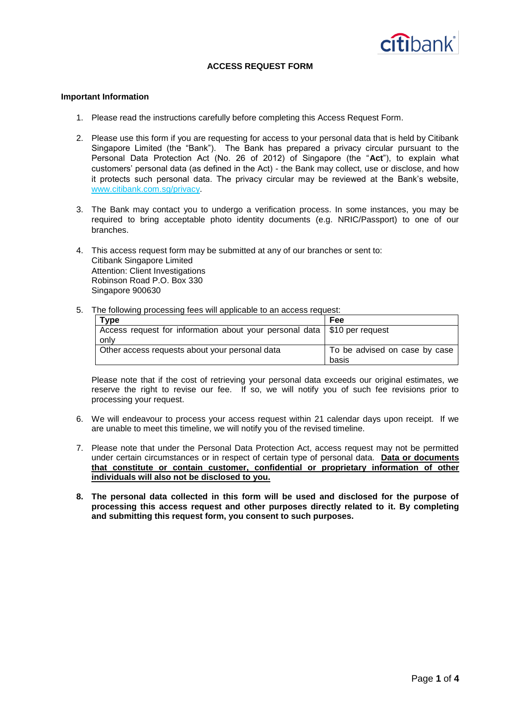

# **ACCESS REQUEST FORM**

### **Important Information**

- 1. Please read the instructions carefully before completing this Access Request Form.
- 2. Please use this form if you are requesting for access to your personal data that is held by Citibank Singapore Limited (the "Bank"). The Bank has prepared a privacy circular pursuant to the Personal Data Protection Act (No. 26 of 2012) of Singapore (the "**Act**"), to explain what customers' personal data (as defined in the Act) - the Bank may collect, use or disclose, and how it protects such personal data. The privacy circular may be reviewed at the Bank's website, [www.citibank.com.sg/privacy.](http://www.citibank.com.sg/privacy)
- 3. The Bank may contact you to undergo a verification process. In some instances, you may be required to bring acceptable photo identity documents (e.g. NRIC/Passport) to one of our branches.
- 4. This access request form may be submitted at any of our branches or sent to: Citibank Singapore Limited Attention: Client Investigations Robinson Road P.O. Box 330 Singapore 900630
- 5. The following processing fees will applicable to an access request:

| <b>Type</b>                                                                | Fee                           |
|----------------------------------------------------------------------------|-------------------------------|
| Access request for information about your personal data   \$10 per request |                               |
| only                                                                       |                               |
| Other access requests about your personal data                             | To be advised on case by case |
|                                                                            | basis                         |

Please note that if the cost of retrieving your personal data exceeds our original estimates, we reserve the right to revise our fee. If so, we will notify you of such fee revisions prior to processing your request.

- 6. We will endeavour to process your access request within 21 calendar days upon receipt. If we are unable to meet this timeline, we will notify you of the revised timeline.
- 7. Please note that under the Personal Data Protection Act, access request may not be permitted under certain circumstances or in respect of certain type of personal data. **Data or documents that constitute or contain customer, confidential or proprietary information of other individuals will also not be disclosed to you.**
- **8. The personal data collected in this form will be used and disclosed for the purpose of processing this access request and other purposes directly related to it. By completing and submitting this request form, you consent to such purposes.**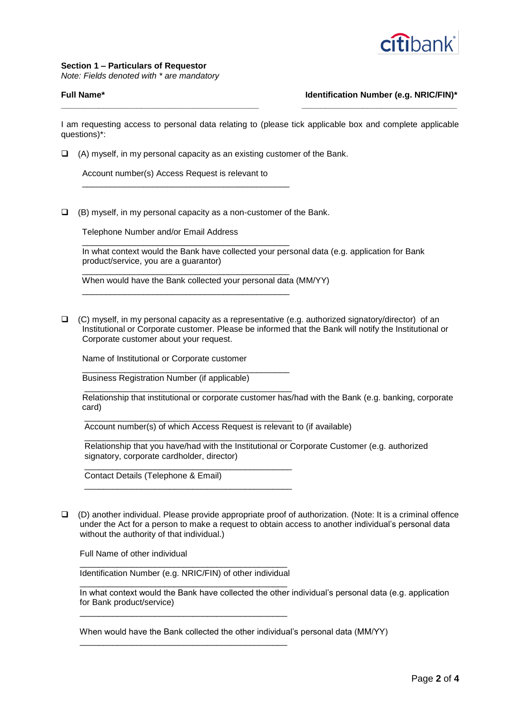

## **Section 1 – Particulars of Requestor**

*Note: Fields denoted with \* are mandatory*

# **Full Name\* Identification Number (e.g. NRIC/FIN)\***

I am requesting access to personal data relating to (please tick applicable box and complete applicable questions)\*:

**\_\_\_\_\_\_\_\_\_\_\_\_\_\_\_\_\_\_\_\_\_\_\_\_\_\_\_\_\_\_\_\_\_\_\_\_\_\_\_\_\_\_ \_\_\_\_\_\_\_\_\_\_\_\_\_\_\_\_\_\_\_\_\_\_\_\_\_\_\_\_\_\_\_\_\_**

 $\Box$  (A) myself, in my personal capacity as an existing customer of the Bank.

 Account number(s) Access Request is relevant to \_\_\_\_\_\_\_\_\_\_\_\_\_\_\_\_\_\_\_\_\_\_\_\_\_\_\_\_\_\_\_\_\_\_\_\_\_\_\_\_\_\_\_\_

\_\_\_\_\_\_\_\_\_\_\_\_\_\_\_\_\_\_\_\_\_\_\_\_\_\_\_\_\_\_\_\_\_\_\_\_\_\_\_\_\_\_\_\_

\_\_\_\_\_\_\_\_\_\_\_\_\_\_\_\_\_\_\_\_\_\_\_\_\_\_\_\_\_\_\_\_\_\_\_\_\_\_\_\_\_\_\_\_

\_\_\_\_\_\_\_\_\_\_\_\_\_\_\_\_\_\_\_\_\_\_\_\_\_\_\_\_\_\_\_\_\_\_\_\_\_\_\_\_\_\_\_\_

 $\Box$  (B) myself, in my personal capacity as a non-customer of the Bank.

Telephone Number and/or Email Address

 In what context would the Bank have collected your personal data (e.g. application for Bank product/service, you are a guarantor)

When would have the Bank collected your personal data (MM/YY)

 $\Box$  (C) myself, in my personal capacity as a representative (e.g. authorized signatory/director) of an Institutional or Corporate customer. Please be informed that the Bank will notify the Institutional or Corporate customer about your request.

Name of Institutional or Corporate customer

 \_\_\_\_\_\_\_\_\_\_\_\_\_\_\_\_\_\_\_\_\_\_\_\_\_\_\_\_\_\_\_\_\_\_\_\_\_\_\_\_\_\_\_\_ Business Registration Number (if applicable)

\_\_\_\_\_\_\_\_\_\_\_\_\_\_\_\_\_\_\_\_\_\_\_\_\_\_\_\_\_\_\_\_\_\_\_\_\_\_\_\_\_\_\_\_

\_\_\_\_\_\_\_\_\_\_\_\_\_\_\_\_\_\_\_\_\_\_\_\_\_\_\_\_\_\_\_\_\_\_\_\_\_\_\_\_\_\_\_\_

\_\_\_\_\_\_\_\_\_\_\_\_\_\_\_\_\_\_\_\_\_\_\_\_\_\_\_\_\_\_\_\_\_\_\_\_\_\_\_\_\_\_\_\_

 \_\_\_\_\_\_\_\_\_\_\_\_\_\_\_\_\_\_\_\_\_\_\_\_\_\_\_\_\_\_\_\_\_\_\_\_\_\_\_\_\_\_\_\_ Relationship that institutional or corporate customer has/had with the Bank (e.g. banking, corporate card)

 \_\_\_\_\_\_\_\_\_\_\_\_\_\_\_\_\_\_\_\_\_\_\_\_\_\_\_\_\_\_\_\_\_\_\_\_\_\_\_\_\_\_\_\_ Account number(s) of which Access Request is relevant to (if available)

 Relationship that you have/had with the Institutional or Corporate Customer (e.g. authorized signatory, corporate cardholder, director)

Contact Details (Telephone & Email)

 (D) another individual. Please provide appropriate proof of authorization. (Note: It is a criminal offence under the Act for a person to make a request to obtain access to another individual's personal data without the authority of that individual.)

Full Name of other individual

 \_\_\_\_\_\_\_\_\_\_\_\_\_\_\_\_\_\_\_\_\_\_\_\_\_\_\_\_\_\_\_\_\_\_\_\_\_\_\_\_\_\_\_\_ Identification Number (e.g. NRIC/FIN) of other individual

\_\_\_\_\_\_\_\_\_\_\_\_\_\_\_\_\_\_\_\_\_\_\_\_\_\_\_\_\_\_\_\_\_\_\_\_\_\_\_\_\_\_\_\_

\_\_\_\_\_\_\_\_\_\_\_\_\_\_\_\_\_\_\_\_\_\_\_\_\_\_\_\_\_\_\_\_\_\_\_\_\_\_\_\_\_\_\_\_

\_\_\_\_\_\_\_\_\_\_\_\_\_\_\_\_\_\_\_\_\_\_\_\_\_\_\_\_\_\_\_\_\_\_\_\_\_\_\_\_\_\_\_\_

 In what context would the Bank have collected the other individual's personal data (e.g. application for Bank product/service)

When would have the Bank collected the other individual's personal data (MM/YY)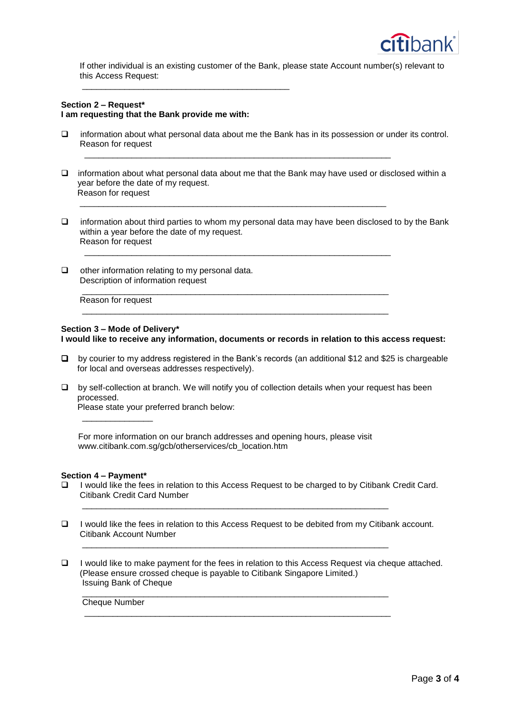

 If other individual is an existing customer of the Bank, please state Account number(s) relevant to this Access Request:

## **Section 2 – Request\* I am requesting that the Bank provide me with:**

\_\_\_\_\_\_\_\_\_\_\_\_\_\_\_\_\_\_\_\_\_\_\_\_\_\_\_\_\_\_\_\_\_\_\_\_\_\_\_\_\_\_\_\_

□ information about what personal data about me the Bank has in its possession or under its control. Reason for request

 $\overline{\phantom{a}}$  ,  $\overline{\phantom{a}}$  ,  $\overline{\phantom{a}}$  ,  $\overline{\phantom{a}}$  ,  $\overline{\phantom{a}}$  ,  $\overline{\phantom{a}}$  ,  $\overline{\phantom{a}}$  ,  $\overline{\phantom{a}}$  ,  $\overline{\phantom{a}}$  ,  $\overline{\phantom{a}}$  ,  $\overline{\phantom{a}}$  ,  $\overline{\phantom{a}}$  ,  $\overline{\phantom{a}}$  ,  $\overline{\phantom{a}}$  ,  $\overline{\phantom{a}}$  ,  $\overline{\phantom{a}}$ 

 $\mathcal{L} = \{ \mathcal{L}_1, \mathcal{L}_2, \ldots, \mathcal{L}_n, \mathcal{L}_n, \ldots, \mathcal{L}_n, \mathcal{L}_n, \mathcal{L}_n, \ldots, \mathcal{L}_n, \mathcal{L}_n, \mathcal{L}_n, \mathcal{L}_n, \ldots, \mathcal{L}_n, \mathcal{L}_n, \mathcal{L}_n, \ldots, \mathcal{L}_n, \mathcal{L}_n, \mathcal{L}_n, \mathcal{L}_n, \ldots, \mathcal{L}_n, \mathcal{L}_n, \mathcal{L}_n, \ldots, \mathcal{L}_n, \mathcal{L}_n$ 

 $\overline{\phantom{a}}$  ,  $\overline{\phantom{a}}$  ,  $\overline{\phantom{a}}$  ,  $\overline{\phantom{a}}$  ,  $\overline{\phantom{a}}$  ,  $\overline{\phantom{a}}$  ,  $\overline{\phantom{a}}$  ,  $\overline{\phantom{a}}$  ,  $\overline{\phantom{a}}$  ,  $\overline{\phantom{a}}$  ,  $\overline{\phantom{a}}$  ,  $\overline{\phantom{a}}$  ,  $\overline{\phantom{a}}$  ,  $\overline{\phantom{a}}$  ,  $\overline{\phantom{a}}$  ,  $\overline{\phantom{a}}$ 

 $\mathcal{L} = \{ \mathcal{L}_1, \mathcal{L}_2, \ldots, \mathcal{L}_{n-1}, \ldots, \mathcal{L}_{n-1}, \ldots, \mathcal{L}_{n-1}, \ldots, \mathcal{L}_{n-1}, \ldots, \mathcal{L}_{n-1}, \ldots, \mathcal{L}_{n-1}, \ldots, \mathcal{L}_{n-1}, \ldots, \mathcal{L}_{n-1}, \ldots, \mathcal{L}_{n-1}, \ldots, \mathcal{L}_{n-1}, \ldots, \mathcal{L}_{n-1}, \ldots, \mathcal{L}_{n-1}, \ldots, \mathcal{L}_{n-1}, \ldots, \mathcal{L}_{n-1$ 

\_\_\_\_\_\_\_\_\_\_\_\_\_\_\_\_\_\_\_\_\_\_\_\_\_\_\_\_\_\_\_\_\_\_\_\_\_\_\_\_\_\_\_\_\_\_\_\_\_\_\_\_\_\_\_\_\_\_\_\_\_\_\_\_\_

- $\Box$  information about what personal data about me that the Bank may have used or disclosed within a year before the date of my request. Reason for request
- $\Box$  information about third parties to whom my personal data may have been disclosed to by the Bank within a year before the date of my request. Reason for request
- $\Box$  other information relating to my personal data. Description of information request

Reason for request

### **Section 3 – Mode of Delivery\* I would like to receive any information, documents or records in relation to this access request:**

- by courier to my address registered in the Bank's records (an additional \$12 and \$25 is chargeable for local and overseas addresses respectively).
- $\Box$  by self-collection at branch. We will notify you of collection details when your request has been processed. Please state your preferred branch below:

For more information on our branch addresses and opening hours, please visit www.citibank.com.sg/gcb/otherservices/cb\_location.htm

 $\mathcal{L} = \{ \mathcal{L}_1, \mathcal{L}_2, \ldots, \mathcal{L}_n, \mathcal{L}_n, \ldots, \mathcal{L}_n, \mathcal{L}_n, \ldots, \mathcal{L}_n, \mathcal{L}_n, \mathcal{L}_n, \ldots, \mathcal{L}_n, \mathcal{L}_n, \mathcal{L}_n, \ldots, \mathcal{L}_n, \mathcal{L}_n, \ldots, \mathcal{L}_n, \mathcal{L}_n, \ldots, \mathcal{L}_n, \mathcal{L}_n, \ldots, \mathcal{L}_n, \mathcal{L}_n, \ldots, \mathcal{L}_n, \ldots, \mathcal$ 

 $\mathcal{L}_\text{max} = \frac{1}{2} \sum_{i=1}^{n} \frac{1}{2} \sum_{j=1}^{n} \frac{1}{2} \sum_{j=1}^{n} \frac{1}{2} \sum_{j=1}^{n} \frac{1}{2} \sum_{j=1}^{n} \frac{1}{2} \sum_{j=1}^{n} \frac{1}{2} \sum_{j=1}^{n} \frac{1}{2} \sum_{j=1}^{n} \frac{1}{2} \sum_{j=1}^{n} \frac{1}{2} \sum_{j=1}^{n} \frac{1}{2} \sum_{j=1}^{n} \frac{1}{2} \sum_{j=1}^{n} \frac{1$ 

 $\frac{1}{2}$  ,  $\frac{1}{2}$  ,  $\frac{1}{2}$  ,  $\frac{1}{2}$  ,  $\frac{1}{2}$  ,  $\frac{1}{2}$  ,  $\frac{1}{2}$  ,  $\frac{1}{2}$  ,  $\frac{1}{2}$  ,  $\frac{1}{2}$  ,  $\frac{1}{2}$  ,  $\frac{1}{2}$  ,  $\frac{1}{2}$  ,  $\frac{1}{2}$  ,  $\frac{1}{2}$  ,  $\frac{1}{2}$  ,  $\frac{1}{2}$  ,  $\frac{1}{2}$  ,  $\frac{1$ 

 $\overline{\phantom{a}}$  ,  $\overline{\phantom{a}}$  ,  $\overline{\phantom{a}}$  ,  $\overline{\phantom{a}}$  ,  $\overline{\phantom{a}}$  ,  $\overline{\phantom{a}}$  ,  $\overline{\phantom{a}}$  ,  $\overline{\phantom{a}}$  ,  $\overline{\phantom{a}}$  ,  $\overline{\phantom{a}}$  ,  $\overline{\phantom{a}}$  ,  $\overline{\phantom{a}}$  ,  $\overline{\phantom{a}}$  ,  $\overline{\phantom{a}}$  ,  $\overline{\phantom{a}}$  ,  $\overline{\phantom{a}}$ 

## **Section 4 – Payment\***

 $\overline{\phantom{a}}$  ,  $\overline{\phantom{a}}$  ,  $\overline{\phantom{a}}$  ,  $\overline{\phantom{a}}$  ,  $\overline{\phantom{a}}$  ,  $\overline{\phantom{a}}$  ,  $\overline{\phantom{a}}$  ,  $\overline{\phantom{a}}$  ,  $\overline{\phantom{a}}$  ,  $\overline{\phantom{a}}$  ,  $\overline{\phantom{a}}$  ,  $\overline{\phantom{a}}$  ,  $\overline{\phantom{a}}$  ,  $\overline{\phantom{a}}$  ,  $\overline{\phantom{a}}$  ,  $\overline{\phantom{a}}$ 

- $\Box$  I would like the fees in relation to this Access Request to be charged to by Citibank Credit Card. Citibank Credit Card Number
- I would like the fees in relation to this Access Request to be debited from my Citibank account. Citibank Account Number
- $\Box$  I would like to make payment for the fees in relation to this Access Request via cheque attached. (Please ensure crossed cheque is payable to Citibank Singapore Limited.) Issuing Bank of Cheque

Cheque Number